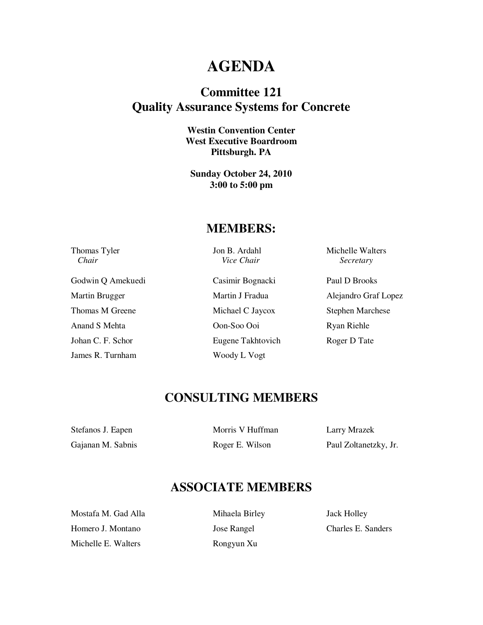# **AGENDA**

### **Committee 121 Quality Assurance Systems for Concrete**

**Westin Convention Center West Executive Boardroom Pittsburgh. PA** 

**Sunday October 24, 2010 3:00 to 5:00 pm** 

#### **MEMBERS:**

Godwin Q Amekuedi Casimir Bognacki Paul D Brooks Thomas M Greene Michael C Jaycox Stephen Marchese Anand S Mehta **Oon-Soo Ooi** Ryan Riehle Johan C. F. Schor Eugene Takhtovich Roger D Tate James R. Turnham Woody L Vogt

*Chair* Secretary *Chair Secretary Secretary Secretary* 

Thomas Tyler **Jon B. Ardahl** Michelle Walters

Martin Brugger Martin J Fradua Alejandro Graf Lopez

## **CONSULTING MEMBERS**

Stefanos J. Eapen Morris V Huffman Morris V Huffman

Gajanan M. Sabnis Roger E. Wilson Paul Zoltanetzky, Jr.

### **ASSOCIATE MEMBERS**

Mostafa M. Gad Alla Mihaela Birley Jack Holley Homero J. Montano Jose Rangel Charles E. Sanders Michelle E. Walters Rongyun Xu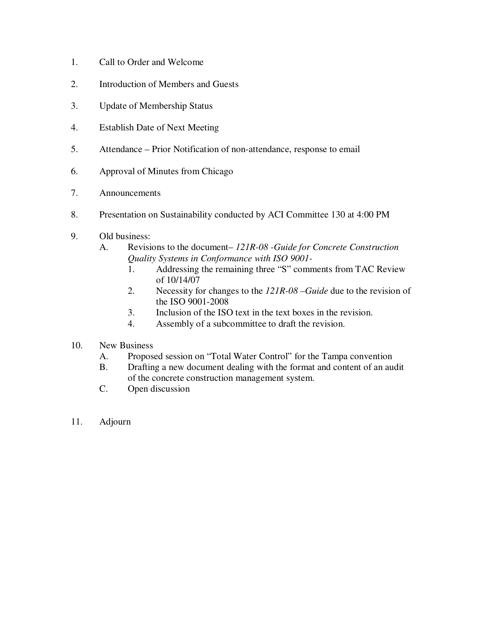- 1. Call to Order and Welcome
- 2. Introduction of Members and Guests
- 3. Update of Membership Status
- 4. Establish Date of Next Meeting
- 5. Attendance Prior Notification of non-attendance, response to email
- 6. Approval of Minutes from Chicago
- 7. Announcements
- 8. Presentation on Sustainability conducted by ACI Committee 130 at 4:00 PM
- 9. Old business:
	- A. Revisions to the document– *121R-08 -Guide for Concrete Construction Quality Systems in Conformance with ISO 9001-* 
		- 1. Addressing the remaining three "S" comments from TAC Review of 10/14/07
		- 2. Necessity for changes to the *121R-08 –Guide* due to the revision of the ISO 9001-2008
		- 3. Inclusion of the ISO text in the text boxes in the revision.
		- 4. Assembly of a subcommittee to draft the revision.
- 10. New Business
	- A. Proposed session on "Total Water Control" for the Tampa convention
	- B. Drafting a new document dealing with the format and content of an audit of the concrete construction management system.
	- C. Open discussion
- 11. Adjourn